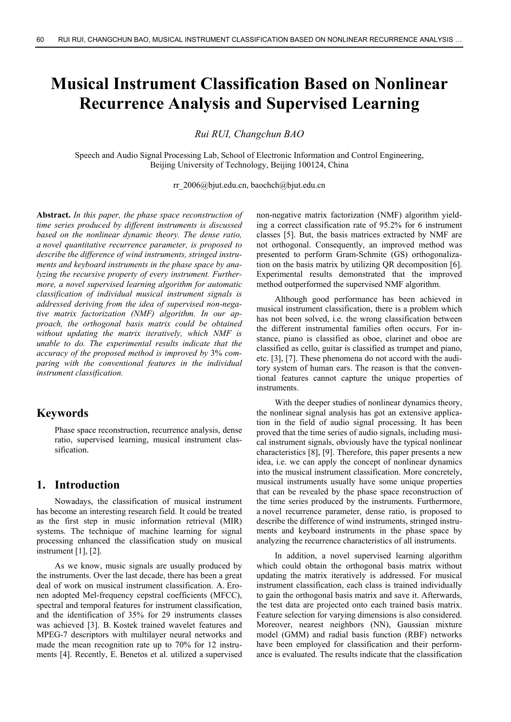# **Musical Instrument Classification Based on Nonlinear Recurrence Analysis and Supervised Learning**

*Rui RUI, Changchun BAO* 

Speech and Audio Signal Processing Lab, School of Electronic Information and Control Engineering, Beijing University of Technology, Beijing 100124, China

rr\_2006@bjut.edu.cn, baochch@bjut.edu.cn

**Abstract.** *In this paper, the phase space reconstruction of time series produced by different instruments is discussed based on the nonlinear dynamic theory. The dense ratio, a novel quantitative recurrence parameter, is proposed to describe the difference of wind instruments, stringed instruments and keyboard instruments in the phase space by analyzing the recursive property of every instrument. Furthermore, a novel supervised learning algorithm for automatic classification of individual musical instrument signals is addressed deriving from the idea of supervised non-negative matrix factorization (NMF) algorithm. In our approach, the orthogonal basis matrix could be obtained without updating the matrix iteratively, which NMF is unable to do. The experimental results indicate that the accuracy of the proposed method is improved by* 3% *comparing with the conventional features in the individual instrument classification.* 

# **Keywords**

Phase space reconstruction, recurrence analysis, dense ratio, supervised learning, musical instrument classification.

# **1. Introduction**

Nowadays, the classification of musical instrument has become an interesting research field. It could be treated as the first step in music information retrieval (MIR) systems. The technique of machine learning for signal processing enhanced the classification study on musical instrument [1], [2].

As we know, music signals are usually produced by the instruments. Over the last decade, there has been a great deal of work on musical instrument classification. A. Eronen adopted Mel-frequency cepstral coefficients (MFCC), spectral and temporal features for instrument classification, and the identification of 35% for 29 instruments classes was achieved [3]. B. Kostek trained wavelet features and MPEG-7 descriptors with multilayer neural networks and made the mean recognition rate up to 70% for 12 instruments [4]. Recently, E. Benetos et al. utilized a supervised non-negative matrix factorization (NMF) algorithm yielding a correct classification rate of 95.2% for 6 instrument classes [5]. But, the basis matrices extracted by NMF are not orthogonal. Consequently, an improved method was presented to perform Gram-Schmite (GS) orthogonalization on the basis matrix by utilizing QR decomposition [6]. Experimental results demonstrated that the improved method outperformed the supervised NMF algorithm.

Although good performance has been achieved in musical instrument classification, there is a problem which has not been solved, i.e. the wrong classification between the different instrumental families often occurs. For instance, piano is classified as oboe, clarinet and oboe are classified as cello, guitar is classified as trumpet and piano, etc. [3], [7]. These phenomena do not accord with the auditory system of human ears. The reason is that the conventional features cannot capture the unique properties of **instruments** 

With the deeper studies of nonlinear dynamics theory, the nonlinear signal analysis has got an extensive application in the field of audio signal processing. It has been proved that the time series of audio signals, including musical instrument signals, obviously have the typical nonlinear characteristics [8], [9]. Therefore, this paper presents a new idea, i.e. we can apply the concept of nonlinear dynamics into the musical instrument classification. More concretely, musical instruments usually have some unique properties that can be revealed by the phase space reconstruction of the time series produced by the instruments. Furthermore, a novel recurrence parameter, dense ratio, is proposed to describe the difference of wind instruments, stringed instruments and keyboard instruments in the phase space by analyzing the recurrence characteristics of all instruments.

In addition, a novel supervised learning algorithm which could obtain the orthogonal basis matrix without updating the matrix iteratively is addressed. For musical instrument classification, each class is trained individually to gain the orthogonal basis matrix and save it. Afterwards, the test data are projected onto each trained basis matrix. Feature selection for varying dimensions is also considered. Moreover, nearest neighbors (NN), Gaussian mixture model (GMM) and radial basis function (RBF) networks have been employed for classification and their performance is evaluated. The results indicate that the classification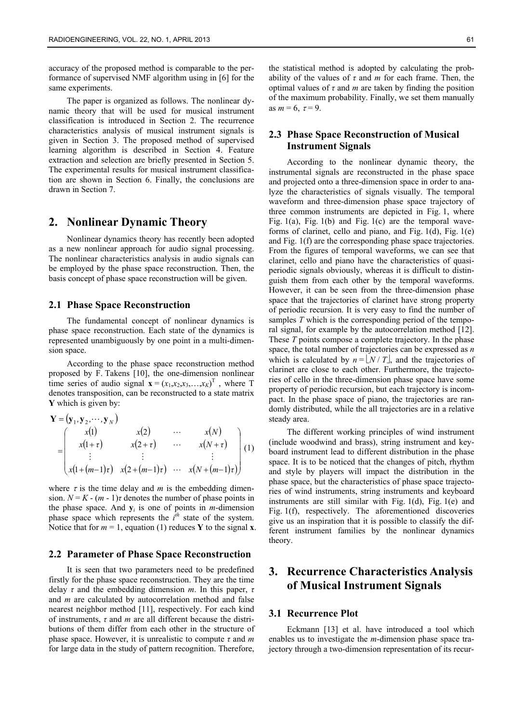accuracy of the proposed method is comparable to the performance of supervised NMF algorithm using in [6] for the same experiments.

The paper is organized as follows. The nonlinear dynamic theory that will be used for musical instrument classification is introduced in Section 2. The recurrence characteristics analysis of musical instrument signals is given in Section 3. The proposed method of supervised learning algorithm is described in Section 4. Feature extraction and selection are briefly presented in Section 5. The experimental results for musical instrument classification are shown in Section 6. Finally, the conclusions are drawn in Section 7.

# **2. Nonlinear Dynamic Theory**

Nonlinear dynamics theory has recently been adopted as a new nonlinear approach for audio signal processing. The nonlinear characteristics analysis in audio signals can be employed by the phase space reconstruction. Then, the basis concept of phase space reconstruction will be given.

#### **2.1 Phase Space Reconstruction**

The fundamental concept of nonlinear dynamics is phase space reconstruction. Each state of the dynamics is represented unambiguously by one point in a multi-dimension space.

According to the phase space reconstruction method proposed by F. Takens [10], the one-dimension nonlinear time series of audio signal  $\mathbf{x} = (x_1, x_2, x_3, \dots, x_K)^T$ , where T denotes transposition, can be reconstructed to a state matrix **Y** which is given by:

$$
\mathbf{Y} = (\mathbf{y}_1, \mathbf{y}_2, \cdots, \mathbf{y}_N)
$$
\n
$$
= \begin{pmatrix}\nx(1) & x(2) & \cdots & x(N) \\
x(1+\tau) & x(2+\tau) & \cdots & x(N+\tau) \\
\vdots & \vdots & \ddots & \vdots \\
x(1+(m-1)\tau) & x(2+(m-1)\tau) & \cdots & x(N+(m-1)\tau)\n\end{pmatrix} (1)
$$

where  $\tau$  is the time delay and *m* is the embedding dimension.  $N = K - (m - 1)\tau$  denotes the number of phase points in the phase space. And  $y_i$  is one of points in *m*-dimension phase space which represents the  $\hat{i}^h$  state of the system. Notice that for  $m = 1$ , equation (1) reduces **Y** to the signal **x**.

#### **2.2 Parameter of Phase Space Reconstruction**

It is seen that two parameters need to be predefined firstly for the phase space reconstruction. They are the time delay *τ* and the embedding dimension *m*. In this paper, *τ* and *m* are calculated by autocorrelation method and false nearest neighbor method [11], respectively. For each kind of instruments, *τ* and *m* are all different because the distributions of them differ from each other in the structure of phase space. However, it is unrealistic to compute *τ* and *m* for large data in the study of pattern recognition. Therefore,

the statistical method is adopted by calculating the probability of the values of *τ* and *m* for each frame. Then, the optimal values of  $\tau$  and  $m$  are taken by finding the position of the maximum probability. Finally, we set them manually as  $m = 6$ ,  $\tau = 9$ .

### **2.3 Phase Space Reconstruction of Musical Instrument Signals**

According to the nonlinear dynamic theory, the instrumental signals are reconstructed in the phase space and projected onto a three-dimension space in order to analyze the characteristics of signals visually. The temporal waveform and three-dimension phase space trajectory of three common instruments are depicted in Fig. 1, where Fig.  $1(a)$ , Fig.  $1(b)$  and Fig.  $1(c)$  are the temporal waveforms of clarinet, cello and piano, and Fig. 1(d), Fig. 1(e) and Fig. 1(f) are the corresponding phase space trajectories. From the figures of temporal waveforms, we can see that clarinet, cello and piano have the characteristics of quasiperiodic signals obviously, whereas it is difficult to distinguish them from each other by the temporal waveforms. However, it can be seen from the three-dimension phase space that the trajectories of clarinet have strong property of periodic recursion. It is very easy to find the number of samples *T* which is the corresponding period of the temporal signal, for example by the autocorrelation method [12]. These *T* points compose a complete trajectory. In the phase space, the total number of trajectories can be expressed as *n* which is calculated by  $n = \lfloor N/T \rfloor$ , and the trajectories of clarinet are close to each other. Furthermore, the trajectories of cello in the three-dimension phase space have some property of periodic recursion, but each trajectory is incompact. In the phase space of piano, the trajectories are randomly distributed, while the all trajectories are in a relative steady area.

The different working principles of wind instrument (include woodwind and brass), string instrument and keyboard instrument lead to different distribution in the phase space. It is to be noticed that the changes of pitch, rhythm and style by players will impact the distribution in the phase space, but the characteristics of phase space trajectories of wind instruments, string instruments and keyboard instruments are still similar with Fig. 1(d), Fig. 1(e) and Fig. 1(f), respectively. The aforementioned discoveries give us an inspiration that it is possible to classify the different instrument families by the nonlinear dynamics theory.

# **3. Recurrence Characteristics Analysis of Musical Instrument Signals**

#### **3.1 Recurrence Plot**

Eckmann [13] et al. have introduced a tool which enables us to investigate the *m*-dimension phase space trajectory through a two-dimension representation of its recur-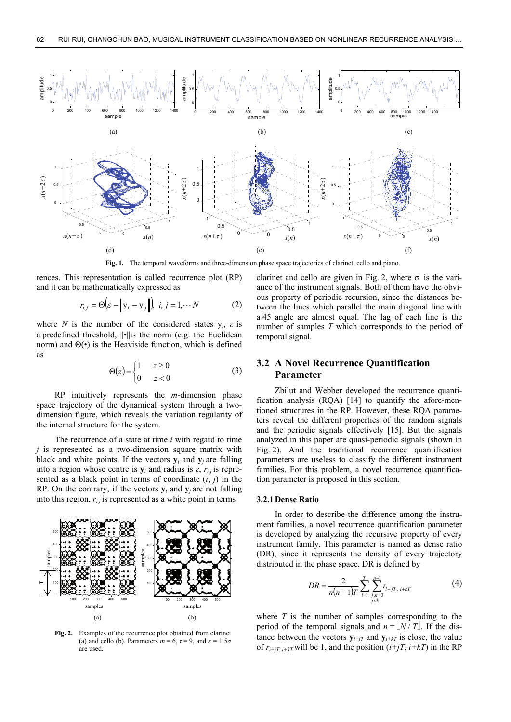

**Fig. 1.** The temporal waveforms and three-dimension phase space trajectories of clarinet, cello and piano.

rences. This representation is called recurrence plot (RP) and it can be mathematically expressed as

$$
r_{i,j} = \Theta \Big( \varepsilon - \Big\| \mathbf{y}_i - \mathbf{y}_j \Big\| \Big), \ \ i, j = 1, \cdots N \tag{2}
$$

where *N* is the number of the considered states  $y_i$ ,  $\varepsilon$  is a predefined threshold,  $\|\cdot\|$  is the norm (e.g. the Euclidean norm) and  $\Theta(\cdot)$  is the Heaviside function, which is defined as

$$
\Theta(z) = \begin{cases} 1 & z \ge 0 \\ 0 & z < 0 \end{cases} \tag{3}
$$

RP intuitively represents the *m*-dimension phase space trajectory of the dynamical system through a twodimension figure, which reveals the variation regularity of the internal structure for the system.

The recurrence of a state at time *i* with regard to time *j* is represented as a two-dimension square matrix with black and white points. If the vectors  $y_i$  and  $y_j$  are falling into a region whose centre is  $y_i$  and radius is  $\varepsilon$ ,  $r_{ij}$  is represented as a black point in terms of coordinate  $(i, j)$  in the RP. On the contrary, if the vectors  $y_i$  and  $y_j$  are not falling into this region,  $r_{i,j}$  is represented as a white point in terms



**Fig. 2.** Examples of the recurrence plot obtained from clarinet (a) and cello (b). Parameters  $m = 6$ ,  $\tau = 9$ , and  $\varepsilon = 1.5\sigma$ are used.

clarinet and cello are given in Fig. 2, where  $\sigma$  is the variance of the instrument signals. Both of them have the obvious property of periodic recursion, since the distances between the lines which parallel the main diagonal line with a 45 angle are almost equal. The lag of each line is the number of samples *T* which corresponds to the period of temporal signal.

### **3.2 A Novel Recurrence Quantification Parameter**

Zbilut and Webber developed the recurrence quantification analysis (RQA) [14] to quantify the afore-mentioned structures in the RP. However, these RQA parameters reveal the different properties of the random signals and the periodic signals effectively [15]. But the signals analyzed in this paper are quasi-periodic signals (shown in Fig. 2). And the traditional recurrence quantification parameters are useless to classify the different instrument families. For this problem, a novel recurrence quantification parameter is proposed in this section.

#### **3.2.1Dense Ratio**

In order to describe the difference among the instrument families, a novel recurrence quantification parameter is developed by analyzing the recursive property of every instrument family. This parameter is named as dense ratio (DR), since it represents the density of every trajectory distributed in the phase space. DR is defined by

$$
DR = \frac{2}{n(n-1)T} \sum_{i=1}^{T} \sum_{\substack{j,k=0 \ j \le k}}^{n-1} r_{i+jT, i+kT}
$$
(4)

where *T* is the number of samples corresponding to the period of the temporal signals and  $n = \lfloor N/T \rfloor$ . If the distance between the vectors  $y_{i+iT}$  and  $y_{i+kT}$  is close, the value of  $r_{i+jT, i+kT}$  will be 1, and the position  $(i+jT, i+kT)$  in the RP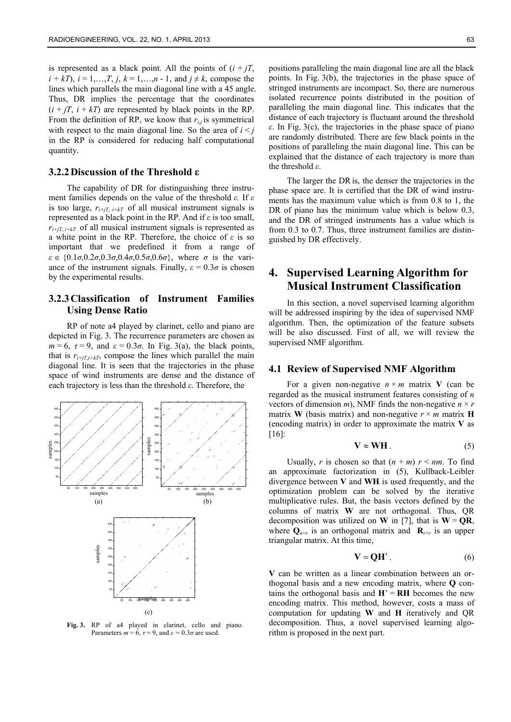is represented as a black point. All the points of  $(i + jT)$ , *i* + *kT*), *i* = 1,…,*T*, *j*, *k* = 1,…,*n* - 1, and *j*  $\neq$  *k*, compose the lines which parallels the main diagonal line with a 45 angle. Thus, DR implies the percentage that the coordinates  $(i + jT, i + kT)$  are represented by black points in the RP. From the definition of RP, we know that  $r_{i,j}$  is symmetrical with respect to the main diagonal line. So the area of  $i < j$ in the RP is considered for reducing half computational quantity.

#### **3.2.2Discussion of the Threshold ε**

The capability of DR for distinguishing three instrument families depends on the value of the threshold *ε.* If *ε* is too large,  $r_{i+jT, i+kT}$  of all musical instrument signals is represented as a black point in the RP. And if *ε* is too small,  $r_{i+jT, i+kT}$  of all musical instrument signals is represented as a white point in the RP. Therefore, the choice of *ε* is so important that we predefined it from a range of  $\varepsilon \in \{0.1\sigma, 0.2\sigma, 0.3\sigma, 0.4\sigma, 0.5\sigma, 0.6\sigma\}$ , where  $\sigma$  is the variance of the instrument signals. Finally,  $\varepsilon = 0.3\sigma$  is chosen by the experimental results.

### **3.2.3Classification of Instrument Families Using Dense Ratio**

RP of note a4 played by clarinet, cello and piano are depicted in Fig. 3. The recurrence parameters are chosen as  $m = 6$ ,  $\tau = 9$ , and  $\varepsilon = 0.3\sigma$ . In Fig. 3(a), the black points, that is  $r_{i+iT,i+RT}$ , compose the lines which parallel the main diagonal line. It is seen that the trajectories in the phase space of wind instruments are dense and the distance of each trajectory is less than the threshold *ε*. Therefore, the



Fig. 3. RP of a4 played in clarinet, cello and piano. Parameters  $m = 6$ ,  $\tau = 9$ , and  $\varepsilon = 0.3\sigma$  are used.

positions paralleling the main diagonal line are all the black points. In Fig. 3(b), the trajectories in the phase space of stringed instruments are incompact. So, there are numerous isolated recurrence points distributed in the position of paralleling the main diagonal line. This indicates that the distance of each trajectory is fluctuant around the threshold *ε*. In Fig. 3(c), the trajectories in the phase space of piano are randomly distributed. There are few black points in the positions of paralleling the main diagonal line. This can be explained that the distance of each trajectory is more than the threshold *ε*.

The larger the DRis, the denser the trajectories in the phase space are. It is certified that the DR of wind instruments has the maximum value which is from 0.8 to 1, the DR of piano has the minimum value which is below 0.3, and the DR of stringed instruments has a value which is from 0.3 to 0.7. Thus, three instrument families are distinguished by DR effectively.

# **4. Supervised Learning Algorithm for Musical Instrument Classification**

In this section, a novel supervised learning algorithm will be addressed inspiring by the idea of supervised NMF algorithm. Then, the optimization of the feature subsets will be also discussed. First of all, we will review the supervised NMF algorithm.

#### **4.1 Review of Supervised NMF Algorithm**

For a given non-negative  $n \times m$  matrix **V** (can be regarded as the musical instrument features consisting of *n* vectors of dimension *m*), NMF finds the non-negative  $n \times r$ matrix **W** (basis matrix) and non-negative  $r \times m$  matrix **H** (encoding matrix) in order to approximate the matrix **V** as [16]:

$$
V \approx WH \tag{5}
$$

Usually, *r* is chosen so that  $(n + m)$   $r \le nm$ . To find an approximate factorization in (5), Kullback-Leibler divergence between **V** and **WH** is used frequently, and the optimization problem can be solved by the iterative multiplicative rules. But, the basis vectors defined by the columns of matrix **W** are not orthogonal. Thus, QR decomposition was utilized on **W** in [7], that is  $W = QR$ , where  $Q_{n \times r}$  is an orthogonal matrix and  $R_{r \times r}$  is an upper triangular matrix. At this time,

$$
\mathbf{V} = \mathbf{Q}\mathbf{H}' \,. \tag{6}
$$

**V** can be written as a linear combination between an orthogonal basis and a new encoding matrix, where **Q** contains the orthogonal basis and  $H' = RH$  becomes the new encoding matrix. This method, however, costs a mass of computation for updating **W** and **H** iteratively and QR decomposition. Thus, a novel supervised learning algorithm is proposed in the next part.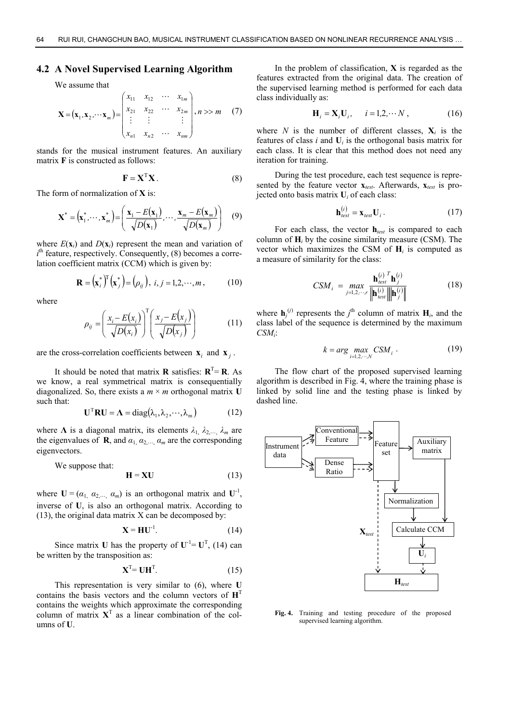#### **4.2 A Novel Supervised Learning Algorithm**

We assume that

$$
\mathbf{X} = (\mathbf{x}_1, \mathbf{x}_2, \cdots, \mathbf{x}_m) = \begin{pmatrix} x_{11} & x_{12} & \cdots & x_{1m} \\ x_{21} & x_{22} & \cdots & x_{2m} \\ \vdots & \vdots & & \vdots \\ x_{n1} & x_{n2} & \cdots & x_{nm} \end{pmatrix}, n \gg m \quad (7)
$$

stands for the musical instrument features. An auxiliary matrix **F** is constructed as follows:

$$
\mathbf{F} = \mathbf{X}^{\mathrm{T}} \mathbf{X} \tag{8}
$$

The form of normalization of **X** is:

$$
\mathbf{X}^* = (\mathbf{x}_1^*, \cdots, \mathbf{x}_m^*) = \left(\frac{\mathbf{x}_1 - E(\mathbf{x}_1)}{\sqrt{D(\mathbf{x}_1)}}, \cdots, \frac{\mathbf{x}_m - E(\mathbf{x}_m)}{\sqrt{D(\mathbf{x}_m)}}\right) \quad (9)
$$

where  $E(\mathbf{x}_i)$  and  $D(\mathbf{x}_i)$  represent the mean and variation of  $i<sup>th</sup>$  feature, respectively. Consequently, (8) becomes a correlation coefficient matrix (CCM) which is given by:

$$
\mathbf{R} = (\mathbf{x}_i^*)^{\mathrm{T}} (\mathbf{x}_j^*) = (\rho_{ij}), \ i, j = 1, 2, \cdots, m, \qquad (10)
$$

where

$$
\rho_{ij} = \left(\frac{x_i - E(x_i)}{\sqrt{D(x_i)}}\right)^T \left(\frac{x_j - E(x_j)}{\sqrt{D(x_j)}}\right) \tag{11}
$$

are the cross-correlation coefficients between  $\mathbf{x}_i$  and  $\mathbf{x}_j$ .

It should be noted that matrix **R** satisfies:  $R^T = R$ . As we know, a real symmetrical matrix is consequentially diagonalized. So, there exists a  $m \times m$  orthogonal matrix U such that:

$$
\mathbf{U}^{\mathrm{T}}\mathbf{R}\mathbf{U} = \mathbf{\Lambda} = \mathrm{diag}(\lambda_1, \lambda_2, \cdots, \lambda_m)
$$
 (12)

where  $\Lambda$  is a diagonal matrix, its elements  $\lambda_1, \lambda_2, ..., \lambda_m$  are the eigenvalues of **R**, and  $\alpha_1, \alpha_2, \dots, \alpha_m$  are the corresponding eigenvectors.

We suppose that:

$$
\mathbf{H} = \mathbf{X}\mathbf{U} \tag{13}
$$

where  $U = (\alpha_1, \alpha_2, \dots, \alpha_m)$  is an orthogonal matrix and  $U^{-1}$ , inverse of **U**, is also an orthogonal matrix. According to (13), the original data matrix X can be decomposed by:

$$
\mathbf{X} = \mathbf{H}\mathbf{U}^{-1}.
$$
 (14)

Since matrix **U** has the property of  $U^{-1} = U^{T}$ , (14) can be written by the transposition as:

$$
\mathbf{X}^{\mathrm{T}} = \mathbf{U}\mathbf{H}^{\mathrm{T}}.\tag{15}
$$

This representation is very similar to (6), where **U**  contains the basis vectors and the column vectors of **H**<sup>T</sup> contains the weights which approximate the corresponding column of matrix  $X<sup>T</sup>$  as a linear combination of the columns of **U**.

In the problem of classification, **X** is regarded as the features extracted from the original data. The creation of the supervised learning method is performed for each data class individually as:

$$
\mathbf{H}_i = \mathbf{X}_i \mathbf{U}_i, \quad i = 1, 2, \cdots N \,, \tag{16}
$$

where *N* is the number of different classes,  $X_i$  is the features of class  $i$  and  $U_i$  is the orthogonal basis matrix for each class. It is clear that this method does not need any iteration for training.

During the test procedure, each test sequence is represented by the feature vector **x***test*. Afterwards, **x***test* is projected onto basis matrix **U***i* of each class:

$$
\mathbf{h}_{test}^{(i)} = \mathbf{x}_{test} \mathbf{U}_i. \tag{17}
$$

For each class, the vector **h***test* is compared to each column of **H***i* by the cosine similarity measure (CSM). The vector which maximizes the CSM of **H***i* is computed as a measure of similarity for the class:

$$
CSM_{i} = \max_{j=1,2,\cdots,r} \frac{\mathbf{h}_{test}^{(i)}^{T} \mathbf{h}_{j}^{(i)}}{\left\| \mathbf{h}_{test}^{(i)} \right\| \left\| \mathbf{h}_{j}^{(i)} \right\|} \tag{18}
$$

where  $\mathbf{h}_j^{(i)}$  represents the  $j^{\text{th}}$  column of matrix  $\mathbf{H}_i$ , and the class label of the sequence is determined by the maximum *CSMi*:

$$
k = arg \max_{i=1,2,\cdots,N} CSM_i . \tag{19}
$$

The flow chart of the proposed supervised learning algorithm is described in Fig. 4, where the training phase is linked by solid line and the testing phase is linked by dashed line.



**Fig. 4.** Training and testing procedure of the proposed supervised learning algorithm.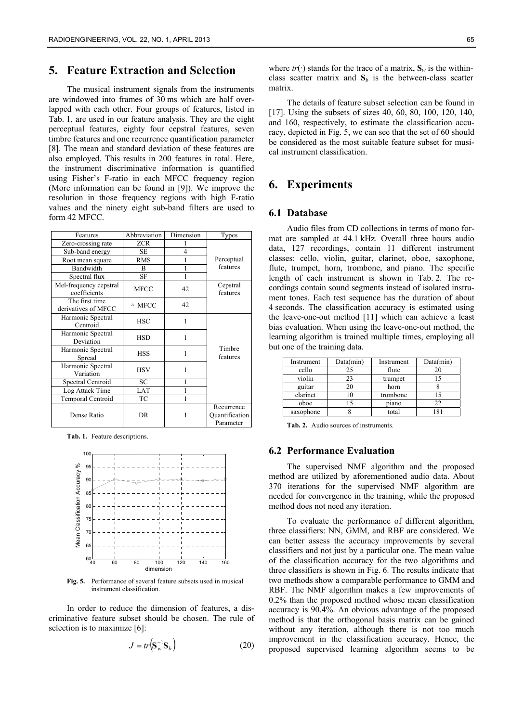# **5. Feature Extraction and Selection**

The musical instrument signals from the instruments are windowed into frames of 30 ms which are half overlapped with each other. Four groups of features, listed in Tab. 1, are used in our feature analysis. They are the eight perceptual features, eighty four cepstral features, seven timbre features and one recurrence quantification parameter [8]. The mean and standard deviation of these features are also employed. This results in 200 features in total. Here, the instrument discriminative information is quantified using Fisher's F-ratio in each MFCC frequency region (More information can be found in [9]). We improve the resolution in those frequency regions with high F-ratio values and the ninety eight sub-band filters are used to form 42 MFCC.

| Features                               | Abbreviation     | Dimension      | Types                                     |  |  |
|----------------------------------------|------------------|----------------|-------------------------------------------|--|--|
| Zero-crossing rate                     | <b>ZCR</b>       |                |                                           |  |  |
| Sub-band energy                        | SE               | $\overline{4}$ |                                           |  |  |
| Root mean square                       | <b>RMS</b>       | 1              | Perceptual                                |  |  |
| Bandwidth                              | B                | 1              | features                                  |  |  |
| Spectral flux                          | SF               | 1              |                                           |  |  |
| Mel-frequency cepstral<br>coefficients | <b>MFCC</b>      | 42             | Cepstral<br>features                      |  |  |
| The first time<br>derivatives of MFCC  | $\triangle$ MFCC | 42             |                                           |  |  |
| Harmonic Spectral<br>Centroid          | <b>HSC</b>       | 1              |                                           |  |  |
| Harmonic Spectral<br>Deviation         | <b>HSD</b>       | 1              |                                           |  |  |
| Harmonic Spectral<br>Spread            | <b>HSS</b>       | 1              | Timbre<br>features                        |  |  |
| Harmonic Spectral<br>Variation         | <b>HSV</b>       | 1              |                                           |  |  |
| Spectral Centroid                      | SC               | 1              |                                           |  |  |
| Log Attack Time                        | LAT              | 1              |                                           |  |  |
| Temporal Centroid                      | ТC               | 1              |                                           |  |  |
| Dense Ratio                            | <b>DR</b>        | 1              | Recurrence<br>Quantification<br>Parameter |  |  |

**Tab. 1.** Feature descriptions.



**Fig. 5.** Performance of several feature subsets used in musical instrument classification.

In order to reduce the dimension of features, a discriminative feature subset should be chosen. The rule of selection is to maximize [6]:

$$
J = tr(\mathbf{S}_w^{-1} \mathbf{S}_b)
$$
 (20)

where  $tr(\cdot)$  stands for the trace of a matrix,  $S_w$  is the withinclass scatter matrix and  $S_b$  is the between-class scatter matrix.

The details of feature subset selection can be found in [17]. Using the subsets of sizes 40, 60, 80, 100, 120, 140, and 160, respectively, to estimate the classification accuracy, depicted in Fig. 5, we can see that the set of 60 should be considered as the most suitable feature subset for musical instrument classification.

### **6. Experiments**

### **6.1 Database**

Audio files from CD collections in terms of mono format are sampled at 44.1 kHz. Overall three hours audio data, 127 recordings, contain 11 different instrument classes: cello, violin, guitar, clarinet, oboe, saxophone, flute, trumpet, horn, trombone, and piano. The specific length of each instrument is shown in Tab. 2. The recordings contain sound segments instead of isolated instrument tones. Each test sequence has the duration of about 4 seconds. The classification accuracy is estimated using the leave-one-out method [11] which can achieve a least bias evaluation. When using the leave-one-out method, the learning algorithm is trained multiple times, employing all but one of the training data.

| Instrument | Data(min) | Instrument | Data(min) |  |
|------------|-----------|------------|-----------|--|
| cello      | 25        | flute      |           |  |
| violin     | 23        | trumpet    |           |  |
| guitar     | 20        | horn       |           |  |
| clarinet   | 10        | trombone   |           |  |
| oboe       |           | piano      |           |  |
| saxophone  |           | total      |           |  |

**Tab. 2.** Audio sources of instruments.

#### **6.2 Performance Evaluation**

The supervised NMF algorithm and the proposed method are utilized by aforementioned audio data. About 370 iterations for the supervised NMF algorithm are needed for convergence in the training, while the proposed method does not need any iteration.

To evaluate the performance of different algorithm, three classifiers: NN, GMM, and RBF are considered. We can better assess the accuracy improvements by several classifiers and not just by a particular one. The mean value of the classification accuracy for the two algorithms and three classifiers is shown in Fig. 6. The results indicate that two methods show a comparable performance to GMM and RBF. The NMF algorithm makes a few improvements of 0.2% than the proposed method whose mean classification accuracy is 90.4%. An obvious advantage of the proposed method is that the orthogonal basis matrix can be gained without any iteration, although there is not too much improvement in the classification accuracy. Hence, the proposed supervised learning algorithm seems to be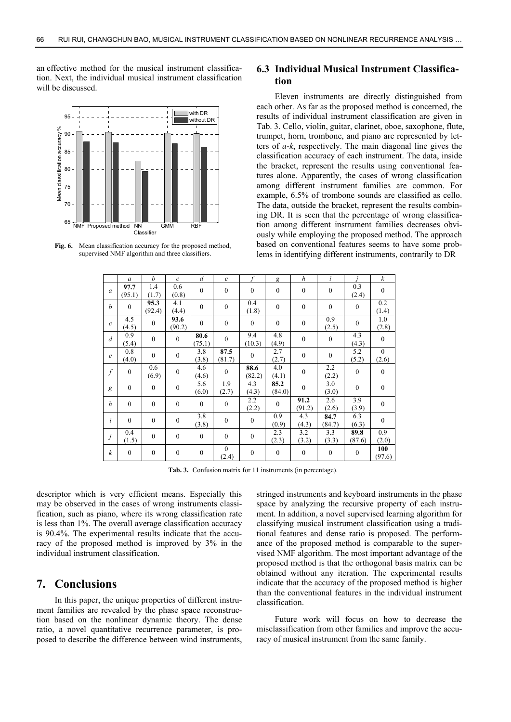an effective method for the musical instrument classification. Next, the individual musical instrument classification will be discussed.



**Fig. 6.** Mean classification accuracy for the proposed method, supervised NMF algorithm and three classifiers.

### **6.3 Individual Musical Instrument Classification**

Eleven instruments are directly distinguished from each other. As far as the proposed method is concerned, the results of individual instrument classification are given in Tab. 3. Cello, violin, guitar, clarinet, oboe, saxophone, flute, trumpet, horn, trombone, and piano are represented by letters of *a*-*k*, respectively. The main diagonal line gives the classification accuracy of each instrument. The data, inside the bracket, represent the results using conventional features alone. Apparently, the cases of wrong classification among different instrument families are common. For example, 6.5% of trombone sounds are classified as cello. The data, outside the bracket, represent the results combining DR. It is seen that the percentage of wrong classification among different instrument families decreases obviously while employing the proposed method. The approach based on conventional features seems to have some problems in identifying different instruments, contrarily to DR

|                  | $\mathfrak a$  | $\boldsymbol{b}$ | $\mathcal{C}$  | $\overline{d}$   | $\epsilon$            |                  | g                | $\boldsymbol{h}$ | $\dot{i}$        |                | $\boldsymbol{k}$  |
|------------------|----------------|------------------|----------------|------------------|-----------------------|------------------|------------------|------------------|------------------|----------------|-------------------|
| a                | 97.7<br>(95.1) | 1.4<br>(1.7)     | 0.6<br>(0.8)   | $\mathbf{0}$     | $\mathbf{0}$          | $\boldsymbol{0}$ | $\mathbf{0}$     | $\mathbf{0}$     | $\boldsymbol{0}$ | 0.3<br>(2.4)   | $\mathbf{0}$      |
| b                | $\mathbf{0}$   | 95.3<br>(92.4)   | 4.1<br>(4.4)   | $\boldsymbol{0}$ | $\boldsymbol{0}$      | 0.4<br>(1.8)     | $\boldsymbol{0}$ | $\boldsymbol{0}$ | $\boldsymbol{0}$ | $\mathbf{0}$   | 0.2<br>(1.4)      |
| $\mathcal{C}$    | 4.5<br>(4.5)   | $\theta$         | 93.6<br>(90.2) | $\overline{0}$   | $\mathbf{0}$          | $\mathbf{0}$     | $\mathbf{0}$     | $\boldsymbol{0}$ | 0.9<br>(2.5)     | $\mathbf{0}$   | 1.0<br>(2.8)      |
| $\overline{d}$   | 0.9<br>(5.4)   | $\theta$         | $\mathbf{0}$   | 80.6<br>(75.1)   | $\mathbf{0}$          | 9.4<br>(10.3)    | 4.8<br>(4.9)     | $\mathbf{0}$     | $\boldsymbol{0}$ | 4.3<br>(4.3)   | $\mathbf{0}$      |
| $\epsilon$       | 0.8<br>(4.0)   | $\theta$         | $\theta$       | 3.8<br>(3.8)     | 87.5<br>(81.7)        | $\theta$         | 2.7<br>(2.7)     | $\mathbf{0}$     | $\mathbf{0}$     | 5.2<br>(5.2)   | $\theta$<br>(2.6) |
| $\boldsymbol{f}$ | $\mathbf{0}$   | 0.6<br>(6.9)     | $\mathbf{0}$   | 4.6<br>(4.6)     | $\mathbf{0}$          | 88.6<br>(82.2)   | 4.0<br>(4.1)     | $\boldsymbol{0}$ | 2.2<br>(2.2)     | $\theta$       | $\mathbf{0}$      |
| g                | $\mathbf{0}$   | $\mathbf{0}$     | $\mathbf{0}$   | 5.6<br>(6.0)     | 1.9<br>(2.7)          | 4.3<br>(4.3)     | 85.2<br>(84.0)   | $\mathbf{0}$     | 3.0<br>(3.0)     | $\mathbf{0}$   | $\overline{0}$    |
| h                | $\mathbf{0}$   | $\theta$         | $\mathbf{0}$   | $\theta$         | $\mathbf{0}$          | 2.2<br>(2.2)     | $\mathbf{0}$     | 91.2<br>(91.2)   | 2.6<br>(2.6)     | 3.9<br>(3.9)   | $\boldsymbol{0}$  |
| i                | $\mathbf{0}$   | $\theta$         | $\mathbf{0}$   | 3.8<br>(3.8)     | $\mathbf{0}$          | $\boldsymbol{0}$ | 0.9<br>(0.9)     | 4.3<br>(4.3)     | 84.7<br>(84.7)   | 6.3<br>(6.3)   | $\mathbf{0}$      |
| j                | 0.4<br>(1.5)   | $\theta$         | $\mathbf{0}$   | $\mathbf{0}$     | $\mathbf{0}$          | $\boldsymbol{0}$ | 2.3<br>(2.3)     | 3.2<br>(3.2)     | 3.3<br>(3.3)     | 89.8<br>(87.6) | 0.9<br>(2.0)      |
| $\boldsymbol{k}$ | $\mathbf{0}$   | $\mathbf{0}$     | $\mathbf{0}$   | $\boldsymbol{0}$ | $\mathbf{0}$<br>(2.4) | $\boldsymbol{0}$ | $\boldsymbol{0}$ | $\mathbf{0}$     | $\boldsymbol{0}$ | $\mathbf{0}$   | 100<br>(97.6)     |

**Tab. 3.** Confusion matrix for 11 instruments (in percentage).

descriptor which is very efficient means. Especially this may be observed in the cases of wrong instruments classification, such as piano, where its wrong classification rate is less than 1%. The overall average classification accuracy is 90.4%. The experimental results indicate that the accuracy of the proposed method is improved by 3% in the individual instrument classification.

# **7. Conclusions**

In this paper, the unique properties of different instrument families are revealed by the phase space reconstruction based on the nonlinear dynamic theory. The dense ratio, a novel quantitative recurrence parameter, is proposed to describe the difference between wind instruments,

stringed instruments and keyboard instruments in the phase space by analyzing the recursive property of each instrument. In addition, a novel supervised learning algorithm for classifying musical instrument classification using a traditional features and dense ratio is proposed. The performance of the proposed method is comparable to the supervised NMF algorithm. The most important advantage of the proposed method is that the orthogonal basis matrix can be obtained without any iteration. The experimental results indicate that the accuracy of the proposed method is higher than the conventional features in the individual instrument classification.

Future work will focus on how to decrease the misclassification from other families and improve the accuracy of musical instrument from the same family.